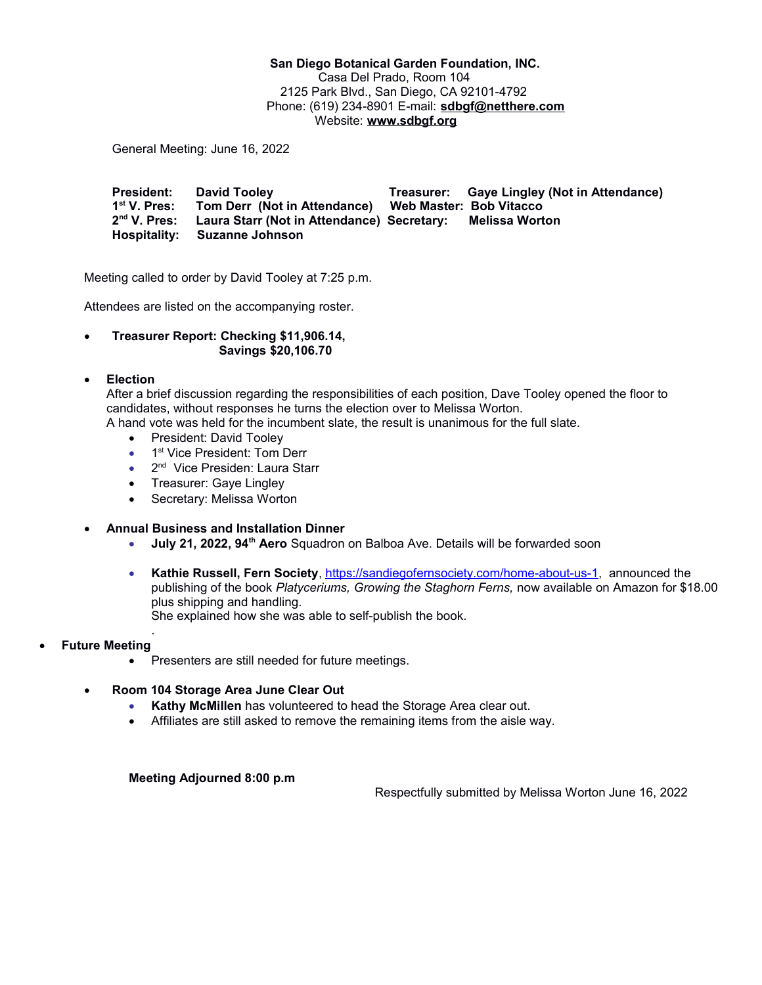**San Diego Botanical Garden Foundation, INC.** Casa Del Prado, Room 104 2125 Park Blvd., San Diego, CA 92101-4792 Phone: (619) 234-8901 E-mail: **[sdbgf@netthere.com](mailto:sdbgf@netthere.com)** Website: **[www.sdbgf.org](http://www.sdbgf.org/)**

General Meeting: June 16, 2022

**President: David Tooley Treasurer: Gaye Lingley (Not in Attendance)** 1<sup>st</sup> V. Pres: **st V. Pres: Tom Derr (Not in Attendance) Web Master: Bob Vitacco 2 nd V. Pres: Laura Starr (Not in Attendance) Secretary: Melissa Worton Hospitality: Suzanne Johnson**

Meeting called to order by David Tooley at 7:25 p.m.

Attendees are listed on the accompanying roster.

 **Treasurer Report: Checking \$11,906.14, Savings \$20,106.70**

## **Election**

After a brief discussion regarding the responsibilities of each position, Dave Tooley opened the floor to candidates, without responses he turns the election over to Melissa Worton.

A hand vote was held for the incumbent slate, the result is unanimous for the full slate.

- President: David Toolev
- 1<sup>st</sup> Vice President: Tom Derr
- 2<sup>nd</sup> Vice Presiden: Laura Starr
- Treasurer: Gaye Lingley
- Secretary: Melissa Worton
- **Annual Business and Installation Dinner**
	- **July 21, 2022, 94th Aero** Squadron on Balboa Ave. Details will be forwarded soon
	- **Kathie Russell, Fern Society**, [https://sandiegofernsociety.com/home-about-us-1,](https://sandiegofernsociety.com/home-about-us-1) announced the publishing of the book *Platyceriums, Growing the Staghorn Ferns,* now available on Amazon for \$18.00 plus shipping and handling. She explained how she was able to self-publish the book.
- . **Future Meeting** 
	- Presenters are still needed for future meetings.
	- **Room 104 Storage Area June Clear Out**
		- **Kathy McMillen** has volunteered to head the Storage Area clear out.
		- Affiliates are still asked to remove the remaining items from the aisle way.

## **Meeting Adjourned 8:00 p.m**

Respectfully submitted by Melissa Worton June 16, 2022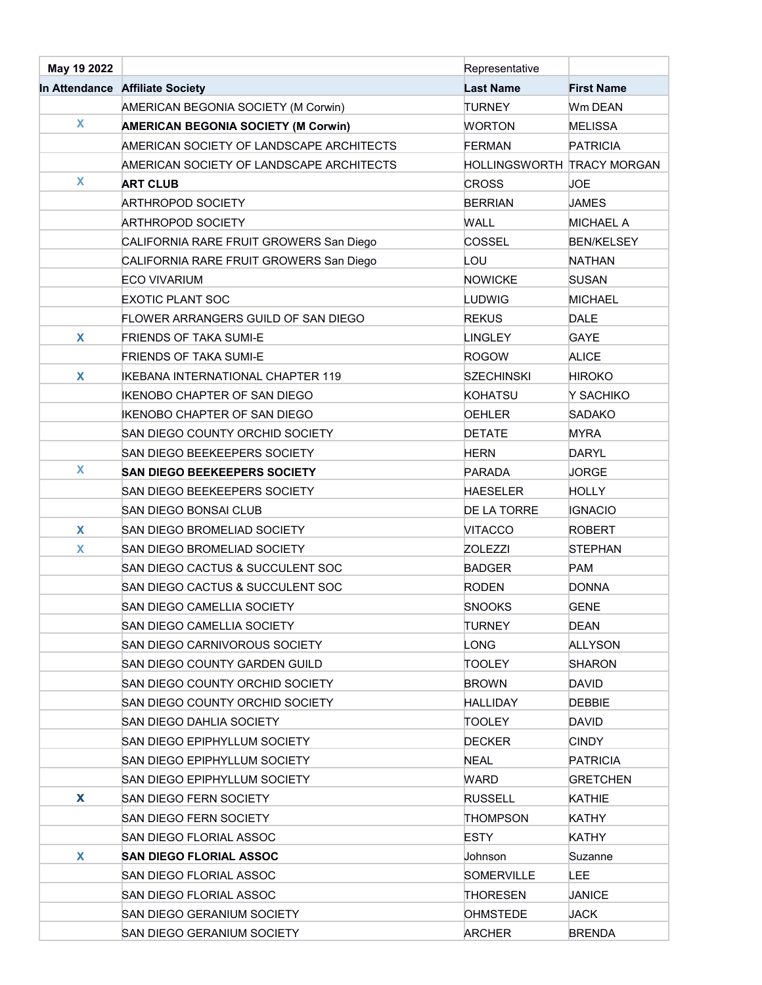| May 19 2022 |                                            | Representative             |                   |
|-------------|--------------------------------------------|----------------------------|-------------------|
|             | In Attendance Affiliate Society            | <b>Last Name</b>           | <b>First Name</b> |
|             | AMERICAN BEGONIA SOCIETY (M Corwin)        | <b>TURNEY</b>              | Wm DEAN           |
| X           | <b>AMERICAN BEGONIA SOCIETY (M Corwin)</b> | <b>WORTON</b>              | <b>MELISSA</b>    |
|             | AMERICAN SOCIETY OF LANDSCAPE ARCHITECTS   | <b>FERMAN</b>              | <b>PATRICIA</b>   |
|             | AMERICAN SOCIETY OF LANDSCAPE ARCHITECTS   | HOLLINGSWORTH TRACY MORGAN |                   |
| X           | <b>ART CLUB</b>                            | <b>CROSS</b>               | <b>JOE</b>        |
|             | <b>ARTHROPOD SOCIETY</b>                   | <b>BERRIAN</b>             | <b>JAMES</b>      |
|             | <b>ARTHROPOD SOCIETY</b>                   | <b>WALL</b>                | <b>MICHAEL A</b>  |
|             | CALIFORNIA RARE FRUIT GROWERS San Diego    | COSSEL                     | <b>BEN/KELSEY</b> |
|             | CALIFORNIA RARE FRUIT GROWERS San Diego    | LOU                        | <b>NATHAN</b>     |
|             | <b>ECO VIVARIUM</b>                        | <b>NOWICKE</b>             | <b>SUSAN</b>      |
|             | <b>EXOTIC PLANT SOC</b>                    | LUDWIG                     | <b>MICHAEL</b>    |
|             | FLOWER ARRANGERS GUILD OF SAN DIEGO        | <b>REKUS</b>               | <b>DALE</b>       |
| X           | <b>FRIENDS OF TAKA SUMI-E</b>              | <b>LINGLEY</b>             | <b>GAYE</b>       |
|             | <b>FRIENDS OF TAKA SUMI-E</b>              | <b>ROGOW</b>               | <b>ALICE</b>      |
| X           | <b>IKEBANA INTERNATIONAL CHAPTER 119</b>   | <b>SZECHINSKI</b>          | <b>HIROKO</b>     |
|             | IKENOBO CHAPTER OF SAN DIEGO               | <b>KOHATSU</b>             | Y SACHIKO         |
|             | <b>IKENOBO CHAPTER OF SAN DIEGO</b>        | <b>OEHLER</b>              | <b>SADAKO</b>     |
|             | SAN DIEGO COUNTY ORCHID SOCIETY            | <b>DETATE</b>              | <b>MYRA</b>       |
|             | SAN DIEGO BEEKEEPERS SOCIETY               | <b>HERN</b>                | DARYL             |
| X           | <b>SAN DIEGO BEEKEEPERS SOCIETY</b>        | <b>PARADA</b>              | <b>JORGE</b>      |
|             | SAN DIEGO BEEKEEPERS SOCIETY               | <b>HAESELER</b>            | <b>HOLLY</b>      |
|             | SAN DIEGO BONSAI CLUB                      | DE LA TORRE                | <b>IGNACIO</b>    |
| X           | SAN DIEGO BROMELIAD SOCIETY                | <b>VITACCO</b>             | <b>ROBERT</b>     |
| X           | SAN DIEGO BROMELIAD SOCIETY                | <b>ZOLEZZI</b>             | <b>STEPHAN</b>    |
|             | SAN DIEGO CACTUS & SUCCULENT SOC           | <b>BADGER</b>              | <b>PAM</b>        |
|             | SAN DIEGO CACTUS & SUCCULENT SOC           | <b>RODEN</b>               | <b>DONNA</b>      |
|             | SAN DIEGO CAMELLIA SOCIETY                 | <b>SNOOKS</b>              | <b>GENE</b>       |
|             | SAN DIEGO CAMELLIA SOCIETY                 | <b>TURNEY</b>              | <b>DEAN</b>       |
|             | SAN DIEGO CARNIVOROUS SOCIETY              | LONG                       | ALLYSON           |
|             | <b>SAN DIEGO COUNTY GARDEN GUILD</b>       | <b>TOOLEY</b>              | <b>SHARON</b>     |
|             | SAN DIEGO COUNTY ORCHID SOCIETY            | <b>BROWN</b>               | <b>DAVID</b>      |
|             | SAN DIEGO COUNTY ORCHID SOCIETY            | <b>HALLIDAY</b>            | <b>DEBBIE</b>     |
|             | <b>SAN DIEGO DAHLIA SOCIETY</b>            | <b>TOOLEY</b>              | <b>DAVID</b>      |
|             | SAN DIEGO EPIPHYLLUM SOCIETY               | <b>DECKER</b>              | <b>CINDY</b>      |
|             | SAN DIEGO EPIPHYLLUM SOCIETY               | <b>NEAL</b>                | <b>PATRICIA</b>   |
|             | SAN DIEGO EPIPHYLLUM SOCIETY               | <b>WARD</b>                | <b>GRETCHEN</b>   |
| X           | SAN DIEGO FERN SOCIETY                     | <b>RUSSELL</b>             | KATHIE            |
|             | <b>SAN DIEGO FERN SOCIETY</b>              | <b>THOMPSON</b>            | KATHY             |
|             | SAN DIEGO FLORIAL ASSOC                    | <b>ESTY</b>                | <b>KATHY</b>      |
| X           | <b>SAN DIEGO FLORIAL ASSOC</b>             | Johnson                    | Suzanne           |
|             | SAN DIEGO FLORIAL ASSOC                    | <b>SOMERVILLE</b>          | LEE.              |
|             | SAN DIEGO FLORIAL ASSOC                    | <b>THORESEN</b>            | <b>JANICE</b>     |
|             | SAN DIEGO GERANIUM SOCIETY                 | <b>OHMSTEDE</b>            | JACK              |
|             | SAN DIEGO GERANIUM SOCIETY                 | <b>ARCHER</b>              | <b>BRENDA</b>     |